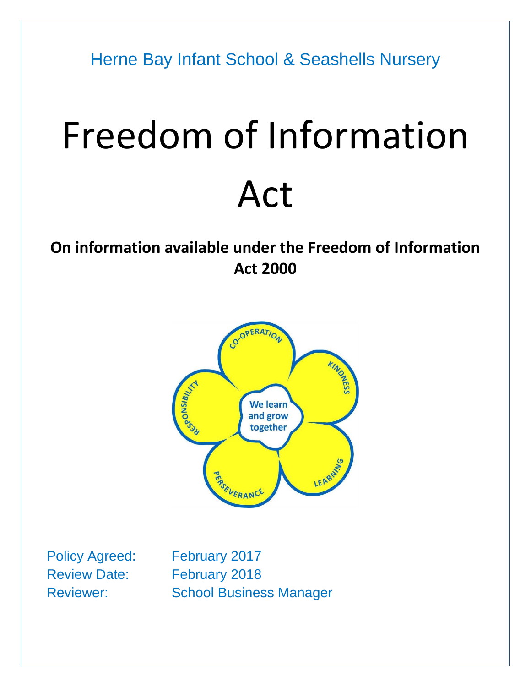Herne Bay Infant School & Seashells Nursery

# Freedom of Information Act

# **On information available under the Freedom of Information Act 2000**



Policy Agreed: February 2017 Review Date: February 2018 Reviewer: School Business Manager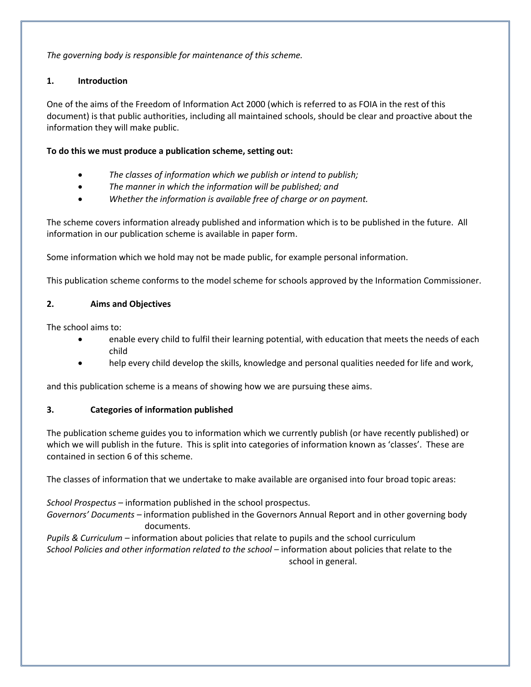*The governing body is responsible for maintenance of this scheme.*

#### **1. Introduction**

One of the aims of the Freedom of Information Act 2000 (which is referred to as FOIA in the rest of this document) is that public authorities, including all maintained schools, should be clear and proactive about the information they will make public.

#### **To do this we must produce a publication scheme, setting out:**

- *The classes of information which we publish or intend to publish;*
- *The manner in which the information will be published; and*
- *Whether the information is available free of charge or on payment.*

The scheme covers information already published and information which is to be published in the future. All information in our publication scheme is available in paper form.

Some information which we hold may not be made public, for example personal information.

This publication scheme conforms to the model scheme for schools approved by the Information Commissioner.

#### **2. Aims and Objectives**

The school aims to:

- enable every child to fulfil their learning potential, with education that meets the needs of each child
- help every child develop the skills, knowledge and personal qualities needed for life and work,

and this publication scheme is a means of showing how we are pursuing these aims.

#### **3. Categories of information published**

The publication scheme guides you to information which we currently publish (or have recently published) or which we will publish in the future. This is split into categories of information known as 'classes'. These are contained in section 6 of this scheme.

The classes of information that we undertake to make available are organised into four broad topic areas:

*School Prospectus –* information published in the school prospectus.

*Governors' Documents –* information published in the Governors Annual Report and in other governing body documents.

*Pupils & Curriculum –* information about policies that relate to pupils and the school curriculum *School Policies and other information related to the school –* information about policies that relate to the school in general.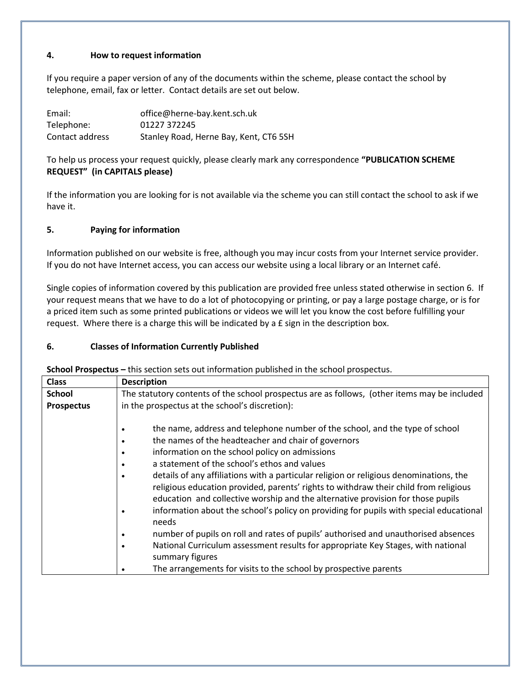#### **4. How to request information**

If you require a paper version of any of the documents within the scheme, please contact the school by telephone, email, fax or letter. Contact details are set out below.

| Email:          | office@herne-bay.kent.sch.uk           |
|-----------------|----------------------------------------|
| Telephone:      | 01227 372245                           |
| Contact address | Stanley Road, Herne Bay, Kent, CT6 5SH |

To help us process your request quickly, please clearly mark any correspondence **"PUBLICATION SCHEME REQUEST" (in CAPITALS please)**

If the information you are looking for is not available via the scheme you can still contact the school to ask if we have it.

#### **5. Paying for information**

Information published on our website is free, although you may incur costs from your Internet service provider. If you do not have Internet access, you can access our website using a local library or an Internet café.

Single copies of information covered by this publication are provided free unless stated otherwise in section 6. If your request means that we have to do a lot of photocopying or printing, or pay a large postage charge, or is for a priced item such as some printed publications or videos we will let you know the cost before fulfilling your request. Where there is a charge this will be indicated by a £ sign in the description box.

#### **6. Classes of Information Currently Published**

**School Prospectus –** this section sets out information published in the school prospectus.

| <b>Class</b>      | <b>Description</b>                                                                                                                                                                                                                                                                                                                                                                                                                                                                                                                                                                                            |
|-------------------|---------------------------------------------------------------------------------------------------------------------------------------------------------------------------------------------------------------------------------------------------------------------------------------------------------------------------------------------------------------------------------------------------------------------------------------------------------------------------------------------------------------------------------------------------------------------------------------------------------------|
| <b>School</b>     | The statutory contents of the school prospectus are as follows, (other items may be included                                                                                                                                                                                                                                                                                                                                                                                                                                                                                                                  |
| <b>Prospectus</b> | in the prospectus at the school's discretion):                                                                                                                                                                                                                                                                                                                                                                                                                                                                                                                                                                |
|                   | the name, address and telephone number of the school, and the type of school<br>the names of the headteacher and chair of governors<br>information on the school policy on admissions<br>a statement of the school's ethos and values<br>details of any affiliations with a particular religion or religious denominations, the<br>religious education provided, parents' rights to withdraw their child from religious<br>education and collective worship and the alternative provision for those pupils<br>information about the school's policy on providing for pupils with special educational<br>needs |
|                   | number of pupils on roll and rates of pupils' authorised and unauthorised absences                                                                                                                                                                                                                                                                                                                                                                                                                                                                                                                            |
|                   | National Curriculum assessment results for appropriate Key Stages, with national<br>summary figures                                                                                                                                                                                                                                                                                                                                                                                                                                                                                                           |
|                   | The arrangements for visits to the school by prospective parents                                                                                                                                                                                                                                                                                                                                                                                                                                                                                                                                              |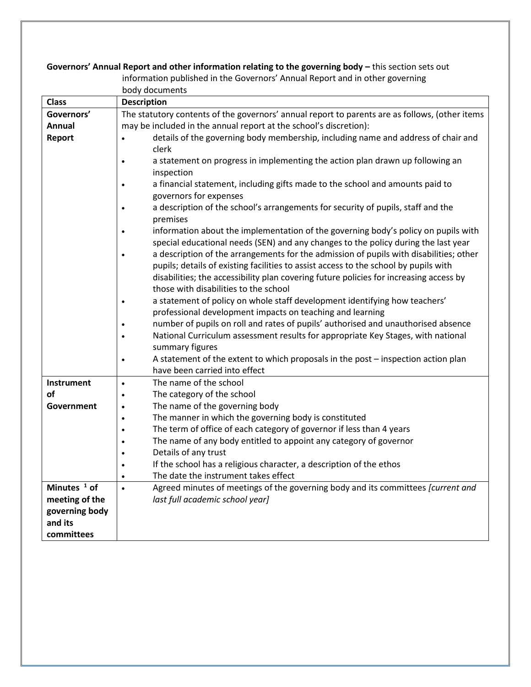## **Governors' Annual Report and other information relating to the governing body –** this section sets out

| information published in the Governors' Annual Report and in other governing |  |
|------------------------------------------------------------------------------|--|
|------------------------------------------------------------------------------|--|

body documents

| <b>Class</b>      | <b>Description</b>                                                                             |  |
|-------------------|------------------------------------------------------------------------------------------------|--|
| Governors'        | The statutory contents of the governors' annual report to parents are as follows, (other items |  |
| Annual            | may be included in the annual report at the school's discretion):                              |  |
| Report            | details of the governing body membership, including name and address of chair and<br>$\bullet$ |  |
|                   | clerk                                                                                          |  |
|                   | a statement on progress in implementing the action plan drawn up following an<br>$\bullet$     |  |
|                   | inspection                                                                                     |  |
|                   | a financial statement, including gifts made to the school and amounts paid to<br>$\bullet$     |  |
|                   | governors for expenses                                                                         |  |
|                   | a description of the school's arrangements for security of pupils, staff and the               |  |
|                   | premises                                                                                       |  |
|                   | information about the implementation of the governing body's policy on pupils with             |  |
|                   | special educational needs (SEN) and any changes to the policy during the last year             |  |
|                   | a description of the arrangements for the admission of pupils with disabilities; other         |  |
|                   | pupils; details of existing facilities to assist access to the school by pupils with           |  |
|                   | disabilities; the accessibility plan covering future policies for increasing access by         |  |
|                   | those with disabilities to the school                                                          |  |
|                   | a statement of policy on whole staff development identifying how teachers'                     |  |
|                   | professional development impacts on teaching and learning                                      |  |
|                   | number of pupils on roll and rates of pupils' authorised and unauthorised absence              |  |
|                   | National Curriculum assessment results for appropriate Key Stages, with national               |  |
|                   | summary figures                                                                                |  |
|                   | A statement of the extent to which proposals in the post - inspection action plan<br>$\bullet$ |  |
|                   | have been carried into effect                                                                  |  |
| <b>Instrument</b> | The name of the school<br>$\bullet$                                                            |  |
| of                | The category of the school<br>$\bullet$                                                        |  |
| <b>Government</b> | The name of the governing body<br>$\bullet$                                                    |  |
|                   | The manner in which the governing body is constituted<br>$\bullet$                             |  |
|                   | The term of office of each category of governor if less than 4 years<br>$\bullet$              |  |
|                   | The name of any body entitled to appoint any category of governor<br>$\bullet$                 |  |
|                   | Details of any trust<br>$\bullet$                                                              |  |
|                   | If the school has a religious character, a description of the ethos<br>$\bullet$               |  |
|                   | The date the instrument takes effect<br>$\bullet$                                              |  |
| Minutes $1$ of    | Agreed minutes of meetings of the governing body and its committees [current and<br>$\bullet$  |  |
| meeting of the    | last full academic school year]                                                                |  |
| governing body    |                                                                                                |  |
| and its           |                                                                                                |  |
| committees        |                                                                                                |  |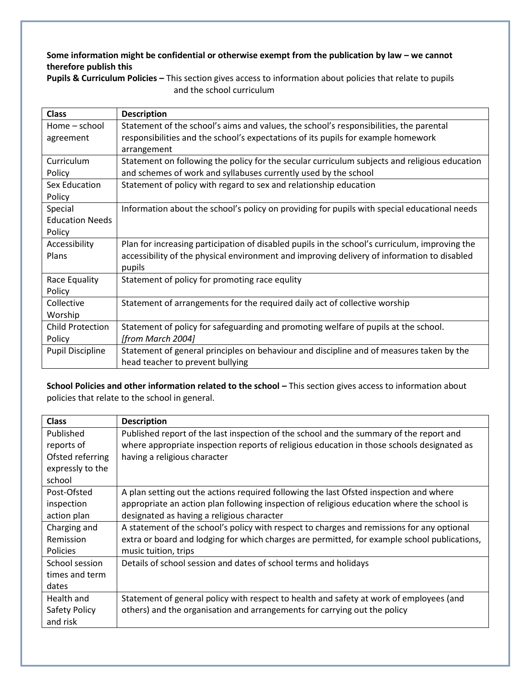### Some information might be confidential or otherwise exempt from the publication by law – we cannot **therefore publish this**

| <b>Class</b>            | <b>Description</b>                                                                             |
|-------------------------|------------------------------------------------------------------------------------------------|
| Home – school           | Statement of the school's aims and values, the school's responsibilities, the parental         |
| agreement               | responsibilities and the school's expectations of its pupils for example homework              |
|                         | arrangement                                                                                    |
| Curriculum              | Statement on following the policy for the secular curriculum subjects and religious education  |
| Policy                  | and schemes of work and syllabuses currently used by the school                                |
| Sex Education           | Statement of policy with regard to sex and relationship education                              |
| Policy                  |                                                                                                |
| Special                 | Information about the school's policy on providing for pupils with special educational needs   |
| <b>Education Needs</b>  |                                                                                                |
| Policy                  |                                                                                                |
| Accessibility           | Plan for increasing participation of disabled pupils in the school's curriculum, improving the |
| Plans                   | accessibility of the physical environment and improving delivery of information to disabled    |
|                         | pupils                                                                                         |
| Race Equality           | Statement of policy for promoting race equlity                                                 |
| Policy                  |                                                                                                |
| Collective              | Statement of arrangements for the required daily act of collective worship                     |
| Worship                 |                                                                                                |
| <b>Child Protection</b> | Statement of policy for safeguarding and promoting welfare of pupils at the school.            |
| Policy                  | [from March 2004]                                                                              |
| <b>Pupil Discipline</b> | Statement of general principles on behaviour and discipline and of measures taken by the       |
|                         | head teacher to prevent bullying                                                               |

**Pupils & Curriculum Policies –** This section gives access to information about policies that relate to pupils and the school curriculum

**School Policies and other information related to the school - This section gives access to information about** policies that relate to the school in general.

| <b>Class</b>     | <b>Description</b>                                                                           |
|------------------|----------------------------------------------------------------------------------------------|
| Published        | Published report of the last inspection of the school and the summary of the report and      |
| reports of       | where appropriate inspection reports of religious education in those schools designated as   |
| Ofsted referring | having a religious character                                                                 |
| expressly to the |                                                                                              |
| school           |                                                                                              |
| Post-Ofsted      | A plan setting out the actions required following the last Ofsted inspection and where       |
| inspection       | appropriate an action plan following inspection of religious education where the school is   |
| action plan      | designated as having a religious character                                                   |
| Charging and     | A statement of the school's policy with respect to charges and remissions for any optional   |
| Remission        | extra or board and lodging for which charges are permitted, for example school publications, |
| <b>Policies</b>  | music tuition, trips                                                                         |
| School session   | Details of school session and dates of school terms and holidays                             |
| times and term   |                                                                                              |
| dates            |                                                                                              |
| Health and       | Statement of general policy with respect to health and safety at work of employees (and      |
| Safety Policy    | others) and the organisation and arrangements for carrying out the policy                    |
| and risk         |                                                                                              |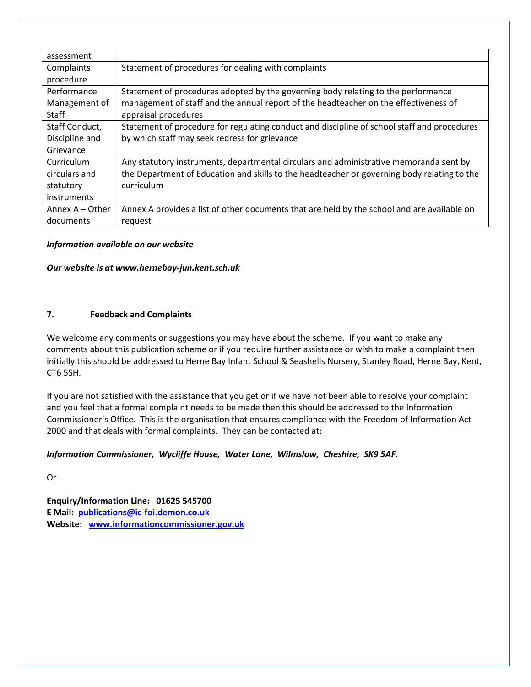| assessment        |                                                                                             |
|-------------------|---------------------------------------------------------------------------------------------|
| Complaints        | Statement of procedures for dealing with complaints                                         |
| procedure         |                                                                                             |
| Performance       | Statement of procedures adopted by the governing body relating to the performance           |
| Management of     | management of staff and the annual report of the headteacher on the effectiveness of        |
| Staff             | appraisal procedures                                                                        |
| Staff Conduct,    | Statement of procedure for regulating conduct and discipline of school staff and procedures |
| Discipline and    | by which staff may seek redress for grievance                                               |
| Grievance         |                                                                                             |
| Curriculum        | Any statutory instruments, departmental circulars and administrative memoranda sent by      |
| circulars and     | the Department of Education and skills to the headteacher or governing body relating to the |
| statutory         | curriculum                                                                                  |
| instruments       |                                                                                             |
| Annex $A -$ Other | Annex A provides a list of other documents that are held by the school and are available on |
| documents         | request                                                                                     |

#### *Information available on our website*

#### *Our website is at www.hernebay-jun.kent.sch.uk*

#### **7. Feedback and Complaints**

We welcome any comments or suggestions you may have about the scheme. If you want to make any comments about this publication scheme or if you require further assistance or wish to make a complaint then initially this should be addressed to Herne Bay Infant School & Seashells Nursery, Stanley Road, Herne Bay, Kent, CT6 5SH.

If you are not satisfied with the assistance that you get or if we have not been able to resolve your complaint and you feel that a formal complaint needs to be made then this should be addressed to the Information Commissioner's Office. This is the organisation that ensures compliance with the Freedom of Information Act 2000 and that deals with formal complaints. They can be contacted at:

#### *Information Commissioner, Wycliffe House, Water Lane, Wilmslow, Cheshire, SK9 5AF.*

Or

**Enquiry/Information Line: 01625 545700 E Mail: [publications@ic-foi.demon.co.uk](mailto:publications@ic-foi.demon.co.uk) Website: [www.informationcommissioner.gov.uk](http://www.informationcommissioner.gov.uk/)**